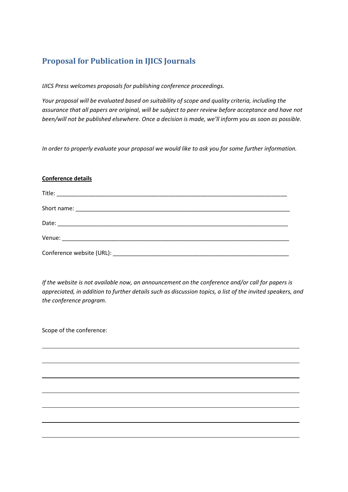# **Proposal for Publication in IJICS Journals**

*IJICS Press welcomes proposals for publishing conference proceedings.* 

*Your proposal will be evaluated based on suitability of scope and quality criteria, including the assurance that all papers are original, will be subject to peer review before acceptance and have not been/will not be published elsewhere. Once a decision is made, we'll inform you as soon as possible.* 

*In order to properly evaluate your proposal we would like to ask you for some further information.* 

#### **Conference details**

*If the website is not available now, an announcement on the conference and/or call for papers is appreciated, in addition to further details such as discussion topics, a list of the invited speakers, and the conference program.* 

 $\overline{a}$ 

 $\overline{a}$ 

Scope of the conference:

 $\overline{a}$ 

 $\overline{a}$ 

 $\overline{a}$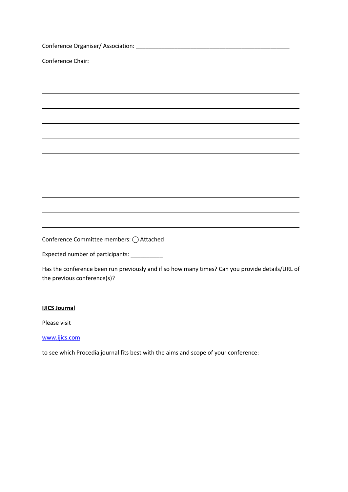| Conference Chair:                                                                |
|----------------------------------------------------------------------------------|
|                                                                                  |
|                                                                                  |
|                                                                                  |
| ,我们也不会有什么。""我们的人,我们也不会有什么?""我们的人,我们也不会有什么?""我们的人,我们也不会有什么?""我们的人,我们也不会有什么?""我们的人 |
|                                                                                  |
| ,我们也不会有什么。""我们的人,我们也不会有什么?""我们的人,我们也不会有什么?""我们的人,我们也不会有什么?""我们的人,我们也不会有什么?""我们的人 |
| ,我们也不会有什么。""我们的人,我们也不会有什么?""我们的人,我们也不会有什么?""我们的人,我们也不会有什么?""我们的人,我们也不会有什么?""我们的人 |
|                                                                                  |
| ,我们也不会有什么。""我们的人,我们也不会有什么?""我们的人,我们也不会有什么?""我们的人,我们也不会有什么?""我们的人,我们也不会有什么?""我们的人 |
| ,我们也不会有什么。""我们的人,我们也不会有什么?""我们的人,我们也不会有什么?""我们的人,我们也不会有什么?""我们的人,我们也不会有什么?""我们的人 |
| Conference Committee members: () Attached                                        |
| Expected number of participants: ___________                                     |

Has the conference been run previously and if so how many times? Can you provide details/URL of the previous conference(s)?

### **IJICS Journal**

Please visit

<www.ijics.com>

to see which Procedia journal fits best with the aims and scope of your conference: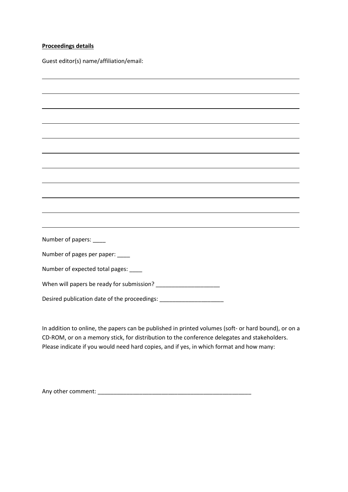#### **Proceedings details**

Guest editor(s) name/affiliation/email:

| Number of papers: ____                                                           |
|----------------------------------------------------------------------------------|
| Number of pages per paper: ____                                                  |
| Number of expected total pages: ____                                             |
|                                                                                  |
| Desired publication date of the proceedings: ___________________________________ |

In addition to online, the papers can be published in printed volumes (soft- or hard bound), or on a CD-ROM, or on a memory stick, for distribution to the conference delegates and stakeholders. Please indicate if you would need hard copies, and if yes, in which format and how many:

Any other comment: \_\_\_\_\_\_\_\_\_\_\_\_\_\_\_\_\_\_\_\_\_\_\_\_\_\_\_\_\_\_\_\_\_\_\_\_\_\_\_\_\_\_\_\_\_\_\_\_